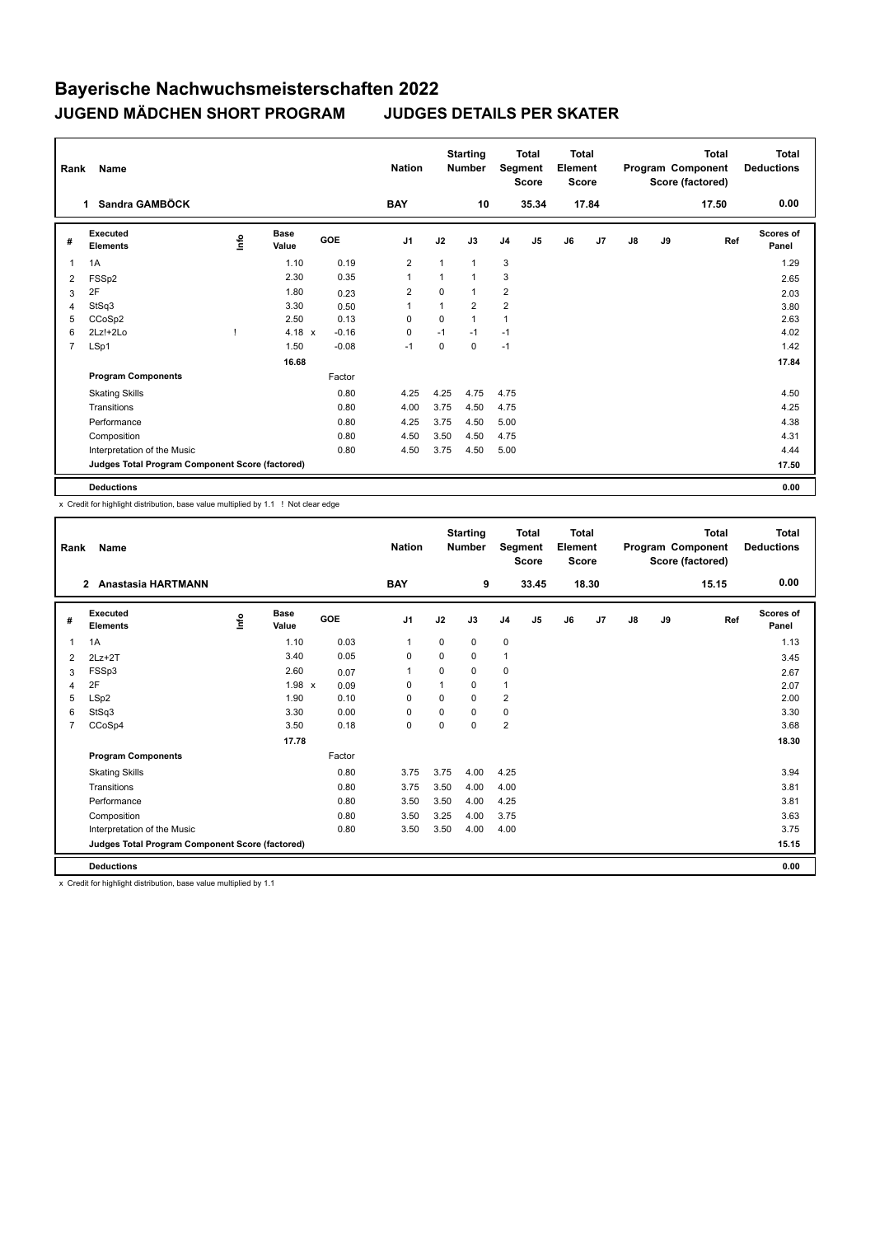| Rank           | Name                                            |                           | <b>Nation</b> |         | <b>Starting</b><br><b>Number</b> |              | <b>Total</b><br>Segment<br><b>Score</b> | <b>Total</b><br>Element<br><b>Score</b> |                |    |                | <b>Total</b><br>Program Component<br>Score (factored) | Total<br><b>Deductions</b> |       |                    |
|----------------|-------------------------------------------------|---------------------------|---------------|---------|----------------------------------|--------------|-----------------------------------------|-----------------------------------------|----------------|----|----------------|-------------------------------------------------------|----------------------------|-------|--------------------|
|                | Sandra GAMBÖCK<br>1                             |                           |               |         | <b>BAY</b>                       |              | 10                                      |                                         | 35.34          |    | 17.84          |                                                       |                            | 17.50 | 0.00               |
| #              | Executed<br><b>Elements</b>                     | $\mathop{\mathsf{Inflo}}$ | Base<br>Value | GOE     | J <sub>1</sub>                   | J2           | J3                                      | J <sub>4</sub>                          | J <sub>5</sub> | J6 | J <sub>7</sub> | $\mathsf{J}8$                                         | J9                         | Ref   | Scores of<br>Panel |
| $\overline{1}$ | 1A                                              |                           | 1.10          | 0.19    | 2                                | $\mathbf{1}$ | 1                                       | 3                                       |                |    |                |                                                       |                            |       | 1.29               |
| 2              | FSS <sub>p2</sub>                               |                           | 2.30          | 0.35    |                                  | 1            | 1                                       | 3                                       |                |    |                |                                                       |                            |       | 2.65               |
| 3              | 2F                                              |                           | 1.80          | 0.23    | 2                                | $\Omega$     | 1                                       | $\overline{2}$                          |                |    |                |                                                       |                            |       | 2.03               |
| 4              | StSq3                                           |                           | 3.30          | 0.50    |                                  | 1            | $\overline{2}$                          | $\overline{2}$                          |                |    |                |                                                       |                            |       | 3.80               |
| 5              | CCoSp2                                          |                           | 2.50          | 0.13    | $\Omega$                         | $\Omega$     | 1                                       | $\overline{1}$                          |                |    |                |                                                       |                            |       | 2.63               |
| 6              | $2Lz!+2Lo$                                      |                           | 4.18 $x$      | $-0.16$ | 0                                | $-1$         | $-1$                                    | $-1$                                    |                |    |                |                                                       |                            |       | 4.02               |
| $\overline{7}$ | LSp1                                            |                           | 1.50          | $-0.08$ | $-1$                             | $\mathbf 0$  | 0                                       | $-1$                                    |                |    |                |                                                       |                            |       | 1.42               |
|                |                                                 |                           | 16.68         |         |                                  |              |                                         |                                         |                |    |                |                                                       |                            |       | 17.84              |
|                | <b>Program Components</b>                       |                           |               | Factor  |                                  |              |                                         |                                         |                |    |                |                                                       |                            |       |                    |
|                | <b>Skating Skills</b>                           |                           |               | 0.80    | 4.25                             | 4.25         | 4.75                                    | 4.75                                    |                |    |                |                                                       |                            |       | 4.50               |
|                | Transitions                                     |                           |               | 0.80    | 4.00                             | 3.75         | 4.50                                    | 4.75                                    |                |    |                |                                                       |                            |       | 4.25               |
|                | Performance                                     |                           |               | 0.80    | 4.25                             | 3.75         | 4.50                                    | 5.00                                    |                |    |                |                                                       |                            |       | 4.38               |
|                | Composition                                     |                           |               | 0.80    | 4.50                             | 3.50         | 4.50                                    | 4.75                                    |                |    |                |                                                       |                            |       | 4.31               |
|                | Interpretation of the Music                     |                           |               | 0.80    | 4.50                             | 3.75         | 4.50                                    | 5.00                                    |                |    |                |                                                       |                            |       | 4.44               |
|                | Judges Total Program Component Score (factored) |                           |               |         |                                  |              |                                         |                                         |                |    |                |                                                       |                            |       | 17.50              |
|                | <b>Deductions</b>                               |                           |               |         |                                  |              |                                         |                                         |                |    |                |                                                       |                            |       | 0.00               |

x Credit for highlight distribution, base value multiplied by 1.1 ! Not clear edge

| Rank           | Name                                            |      |                      |        | <b>Nation</b>  |          | <b>Starting</b><br><b>Number</b> |                | <b>Total</b><br>Segment<br><b>Score</b> | Total<br>Element<br><b>Score</b> |       |    |    | Total<br>Program Component<br>Score (factored) | <b>Total</b><br><b>Deductions</b> |
|----------------|-------------------------------------------------|------|----------------------|--------|----------------|----------|----------------------------------|----------------|-----------------------------------------|----------------------------------|-------|----|----|------------------------------------------------|-----------------------------------|
|                | <b>Anastasia HARTMANN</b><br>$\overline{2}$     |      |                      |        | <b>BAY</b>     |          | 9                                |                | 33.45                                   |                                  | 18.30 |    |    | 15.15                                          | 0.00                              |
| #              | Executed<br><b>Elements</b>                     | lnfo | <b>Base</b><br>Value | GOE    | J <sub>1</sub> | J2       | J3                               | J <sub>4</sub> | J <sub>5</sub>                          | J6                               | J7    | J8 | J9 | Ref                                            | Scores of<br>Panel                |
| 1              | 1A                                              |      | 1.10                 | 0.03   | 1              | 0        | 0                                | $\mathbf 0$    |                                         |                                  |       |    |    |                                                | 1.13                              |
| 2              | $2Lz+2T$                                        |      | 3.40                 | 0.05   | 0              | $\Omega$ | 0                                | $\mathbf{1}$   |                                         |                                  |       |    |    |                                                | 3.45                              |
| 3              | FSSp3                                           |      | 2.60                 | 0.07   | 1              | 0        | 0                                | 0              |                                         |                                  |       |    |    |                                                | 2.67                              |
| 4              | 2F                                              |      | $1.98 \times$        | 0.09   | $\Omega$       |          | 0                                | $\overline{1}$ |                                         |                                  |       |    |    |                                                | 2.07                              |
| 5              | LSp2                                            |      | 1.90                 | 0.10   | $\Omega$       | $\Omega$ | $\Omega$                         | $\overline{2}$ |                                         |                                  |       |    |    |                                                | 2.00                              |
| 6              | StSq3                                           |      | 3.30                 | 0.00   | $\Omega$       | $\Omega$ | 0                                | 0              |                                         |                                  |       |    |    |                                                | 3.30                              |
| $\overline{7}$ | CCoSp4                                          |      | 3.50                 | 0.18   | $\mathbf 0$    | 0        | 0                                | $\overline{2}$ |                                         |                                  |       |    |    |                                                | 3.68                              |
|                |                                                 |      | 17.78                |        |                |          |                                  |                |                                         |                                  |       |    |    |                                                | 18.30                             |
|                | <b>Program Components</b>                       |      |                      | Factor |                |          |                                  |                |                                         |                                  |       |    |    |                                                |                                   |
|                | <b>Skating Skills</b>                           |      |                      | 0.80   | 3.75           | 3.75     | 4.00                             | 4.25           |                                         |                                  |       |    |    |                                                | 3.94                              |
|                | Transitions                                     |      |                      | 0.80   | 3.75           | 3.50     | 4.00                             | 4.00           |                                         |                                  |       |    |    |                                                | 3.81                              |
|                | Performance                                     |      |                      | 0.80   | 3.50           | 3.50     | 4.00                             | 4.25           |                                         |                                  |       |    |    |                                                | 3.81                              |
|                | Composition                                     |      |                      | 0.80   | 3.50           | 3.25     | 4.00                             | 3.75           |                                         |                                  |       |    |    |                                                | 3.63                              |
|                | Interpretation of the Music                     |      |                      | 0.80   | 3.50           | 3.50     | 4.00                             | 4.00           |                                         |                                  |       |    |    |                                                | 3.75                              |
|                | Judges Total Program Component Score (factored) |      |                      |        |                |          |                                  |                |                                         |                                  |       |    |    |                                                | 15.15                             |
|                | <b>Deductions</b>                               |      |                      |        |                |          |                                  |                |                                         |                                  |       |    |    |                                                | 0.00                              |

x Credit for highlight distribution, base value multiplied by 1.1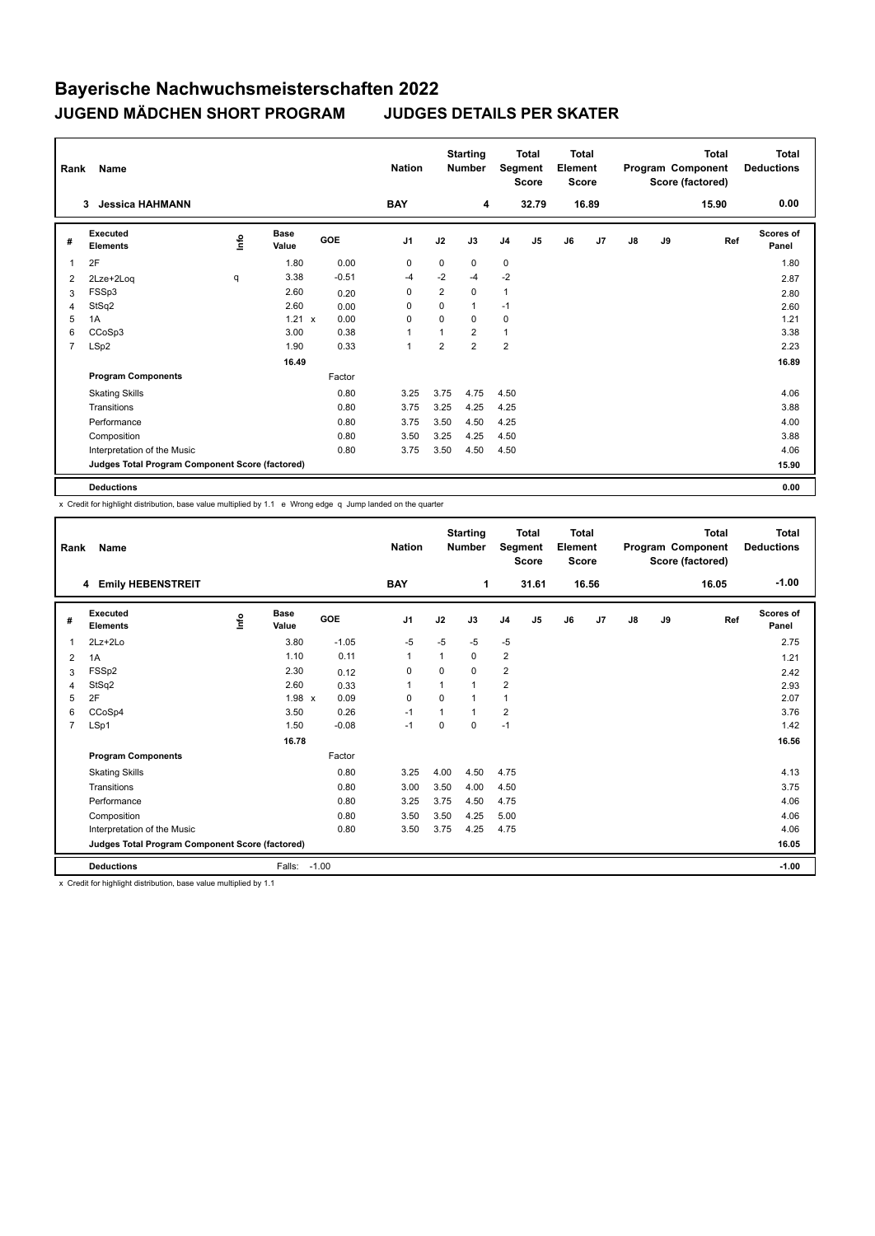| Rank           | Name                                            |    | <b>Nation</b> |         | <b>Starting</b><br><b>Number</b> |                | <b>Total</b><br>Segment<br><b>Score</b> | <b>Total</b><br>Element<br><b>Score</b> |                |    |                | <b>Total</b><br>Program Component<br>Score (factored) | Total<br><b>Deductions</b> |       |                    |
|----------------|-------------------------------------------------|----|---------------|---------|----------------------------------|----------------|-----------------------------------------|-----------------------------------------|----------------|----|----------------|-------------------------------------------------------|----------------------------|-------|--------------------|
|                | <b>Jessica HAHMANN</b><br>3                     |    |               |         | <b>BAY</b>                       |                | 4                                       |                                         | 32.79          |    | 16.89          |                                                       |                            | 15.90 | 0.00               |
| #              | Executed<br><b>Elements</b>                     | ۴ů | Base<br>Value | GOE     | J <sub>1</sub>                   | J2             | J3                                      | J <sub>4</sub>                          | J <sub>5</sub> | J6 | J <sub>7</sub> | J8                                                    | J9                         | Ref   | Scores of<br>Panel |
| $\overline{1}$ | 2F                                              |    | 1.80          | 0.00    | 0                                | $\mathbf 0$    | 0                                       | $\mathbf 0$                             |                |    |                |                                                       |                            |       | 1.80               |
| 2              | 2Lze+2Log                                       | q  | 3.38          | $-0.51$ | -4                               | $-2$           | $-4$                                    | $-2$                                    |                |    |                |                                                       |                            |       | 2.87               |
| 3              | FSSp3                                           |    | 2.60          | 0.20    | 0                                | $\overline{2}$ | 0                                       | $\mathbf{1}$                            |                |    |                |                                                       |                            |       | 2.80               |
| 4              | StSq2                                           |    | 2.60          | 0.00    | 0                                | 0              | 1                                       | $-1$                                    |                |    |                |                                                       |                            |       | 2.60               |
| 5              | 1A                                              |    | $1.21 \times$ | 0.00    | $\Omega$                         | $\Omega$       | $\Omega$                                | $\mathbf 0$                             |                |    |                |                                                       |                            |       | 1.21               |
| 6              | CCoSp3                                          |    | 3.00          | 0.38    | $\overline{1}$                   | 1              | $\overline{2}$                          | $\mathbf{1}$                            |                |    |                |                                                       |                            |       | 3.38               |
| $\overline{7}$ | LSp2                                            |    | 1.90          | 0.33    | $\mathbf{1}$                     | 2              | $\overline{2}$                          | $\overline{2}$                          |                |    |                |                                                       |                            |       | 2.23               |
|                |                                                 |    | 16.49         |         |                                  |                |                                         |                                         |                |    |                |                                                       |                            |       | 16.89              |
|                | <b>Program Components</b>                       |    |               | Factor  |                                  |                |                                         |                                         |                |    |                |                                                       |                            |       |                    |
|                | <b>Skating Skills</b>                           |    |               | 0.80    | 3.25                             | 3.75           | 4.75                                    | 4.50                                    |                |    |                |                                                       |                            |       | 4.06               |
|                | Transitions                                     |    |               | 0.80    | 3.75                             | 3.25           | 4.25                                    | 4.25                                    |                |    |                |                                                       |                            |       | 3.88               |
|                | Performance                                     |    |               | 0.80    | 3.75                             | 3.50           | 4.50                                    | 4.25                                    |                |    |                |                                                       |                            |       | 4.00               |
|                | Composition                                     |    |               | 0.80    | 3.50                             | 3.25           | 4.25                                    | 4.50                                    |                |    |                |                                                       |                            |       | 3.88               |
|                | Interpretation of the Music                     |    |               | 0.80    | 3.75                             | 3.50           | 4.50                                    | 4.50                                    |                |    |                |                                                       |                            |       | 4.06               |
|                | Judges Total Program Component Score (factored) |    |               |         |                                  |                |                                         |                                         |                |    |                |                                                       |                            |       | 15.90              |
|                | <b>Deductions</b>                               |    |               |         |                                  |                |                                         |                                         |                |    |                |                                                       |                            |       | 0.00               |

x Credit for highlight distribution, base value multiplied by 1.1 e Wrong edge q Jump landed on the quarter

| Rank           | Name                                            |      |                      |         | <b>Nation</b>  |          | <b>Starting</b><br><b>Number</b> |                | <b>Total</b><br>Segment<br><b>Score</b> | <b>Total</b><br>Element<br><b>Score</b> |                |               |    | <b>Total</b><br>Program Component<br>Score (factored) | <b>Total</b><br><b>Deductions</b> |
|----------------|-------------------------------------------------|------|----------------------|---------|----------------|----------|----------------------------------|----------------|-----------------------------------------|-----------------------------------------|----------------|---------------|----|-------------------------------------------------------|-----------------------------------|
|                | 4 Emily HEBENSTREIT                             |      |                      |         | <b>BAY</b>     |          | 1                                |                | 31.61                                   |                                         | 16.56          |               |    | 16.05                                                 | $-1.00$                           |
| #              | Executed<br><b>Elements</b>                     | lnfo | <b>Base</b><br>Value | GOE     | J <sub>1</sub> | J2       | J3                               | J <sub>4</sub> | J <sub>5</sub>                          | J6                                      | J <sub>7</sub> | $\mathsf{J}8$ | J9 | Ref                                                   | Scores of<br>Panel                |
| 1              | $2Lz + 2Lo$                                     |      | 3.80                 | $-1.05$ | $-5$           | $-5$     | $-5$                             | $-5$           |                                         |                                         |                |               |    |                                                       | 2.75                              |
| $\overline{2}$ | 1A                                              |      | 1.10                 | 0.11    | $\mathbf{1}$   | 1        | 0                                | $\overline{2}$ |                                         |                                         |                |               |    |                                                       | 1.21                              |
| 3              | FSSp2                                           |      | 2.30                 | 0.12    | 0              | 0        | 0                                | $\overline{2}$ |                                         |                                         |                |               |    |                                                       | 2.42                              |
| $\overline{4}$ | StSq2                                           |      | 2.60                 | 0.33    | $\mathbf{1}$   | 1        | 1                                | $\overline{2}$ |                                         |                                         |                |               |    |                                                       | 2.93                              |
| 5              | 2F                                              |      | $1.98 \times$        | 0.09    | $\Omega$       | $\Omega$ | 1                                | $\mathbf{1}$   |                                         |                                         |                |               |    |                                                       | 2.07                              |
| 6              | CCoSp4                                          |      | 3.50                 | 0.26    | $-1$           | 1        | $\overline{1}$                   | $\overline{2}$ |                                         |                                         |                |               |    |                                                       | 3.76                              |
| $\overline{7}$ | LSp1                                            |      | 1.50                 | $-0.08$ | $-1$           | $\Omega$ | 0                                | $-1$           |                                         |                                         |                |               |    |                                                       | 1.42                              |
|                |                                                 |      | 16.78                |         |                |          |                                  |                |                                         |                                         |                |               |    |                                                       | 16.56                             |
|                | <b>Program Components</b>                       |      |                      | Factor  |                |          |                                  |                |                                         |                                         |                |               |    |                                                       |                                   |
|                | <b>Skating Skills</b>                           |      |                      | 0.80    | 3.25           | 4.00     | 4.50                             | 4.75           |                                         |                                         |                |               |    |                                                       | 4.13                              |
|                | Transitions                                     |      |                      | 0.80    | 3.00           | 3.50     | 4.00                             | 4.50           |                                         |                                         |                |               |    |                                                       | 3.75                              |
|                | Performance                                     |      |                      | 0.80    | 3.25           | 3.75     | 4.50                             | 4.75           |                                         |                                         |                |               |    |                                                       | 4.06                              |
|                | Composition                                     |      |                      | 0.80    | 3.50           | 3.50     | 4.25                             | 5.00           |                                         |                                         |                |               |    |                                                       | 4.06                              |
|                | Interpretation of the Music                     |      |                      | 0.80    | 3.50           | 3.75     | 4.25                             | 4.75           |                                         |                                         |                |               |    |                                                       | 4.06                              |
|                | Judges Total Program Component Score (factored) |      |                      |         |                |          |                                  |                |                                         |                                         |                |               |    |                                                       | 16.05                             |
|                | <b>Deductions</b>                               |      | Falls:               | $-1.00$ |                |          |                                  |                |                                         |                                         |                |               |    |                                                       | $-1.00$                           |

x Credit for highlight distribution, base value multiplied by 1.1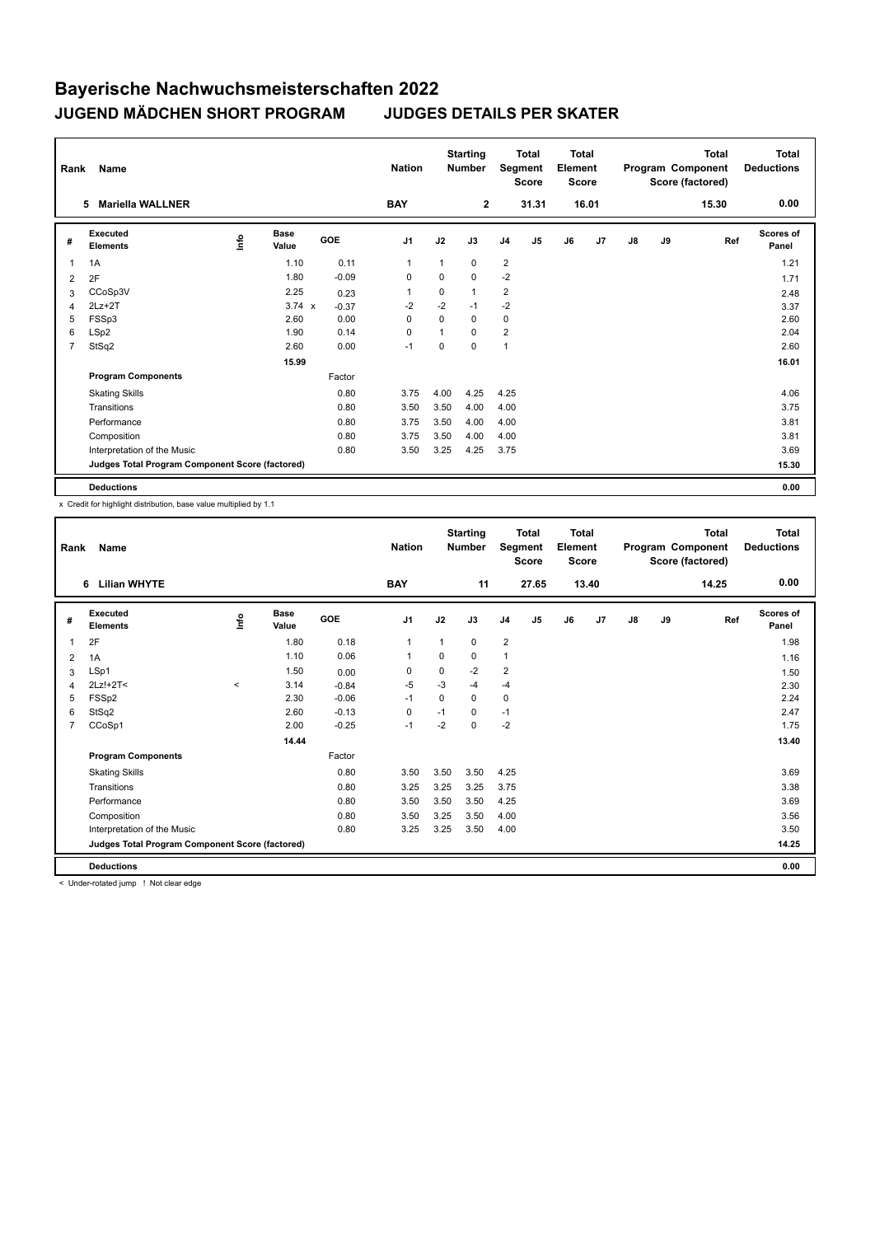| Rank           | Name                                            |                           | <b>Nation</b>        |         | <b>Starting</b><br><b>Number</b> |              | <b>Total</b><br>Segment<br><b>Score</b> | <b>Total</b><br>Element<br><b>Score</b> |                |    |                | <b>Total</b><br>Program Component<br>Score (factored) | Total<br><b>Deductions</b> |       |                    |
|----------------|-------------------------------------------------|---------------------------|----------------------|---------|----------------------------------|--------------|-----------------------------------------|-----------------------------------------|----------------|----|----------------|-------------------------------------------------------|----------------------------|-------|--------------------|
|                | <b>Mariella WALLNER</b><br>5                    |                           |                      |         | <b>BAY</b>                       |              | $\overline{2}$                          |                                         | 31.31          |    | 16.01          |                                                       |                            | 15.30 | 0.00               |
| #              | Executed<br><b>Elements</b>                     | $\mathop{\mathsf{Inflo}}$ | <b>Base</b><br>Value | GOE     | J <sub>1</sub>                   | J2           | J3                                      | J <sub>4</sub>                          | J <sub>5</sub> | J6 | J <sub>7</sub> | J8                                                    | J9                         | Ref   | Scores of<br>Panel |
| $\overline{1}$ | 1A                                              |                           | 1.10                 | 0.11    | $\mathbf{1}$                     | $\mathbf{1}$ | 0                                       | $\overline{2}$                          |                |    |                |                                                       |                            |       | 1.21               |
| 2              | 2F                                              |                           | 1.80                 | $-0.09$ | 0                                | 0            | 0                                       | $-2$                                    |                |    |                |                                                       |                            |       | 1.71               |
| 3              | CCoSp3V                                         |                           | 2.25                 | 0.23    | $\overline{1}$                   | 0            | 1                                       | $\overline{2}$                          |                |    |                |                                                       |                            |       | 2.48               |
| 4              | $2Lz+2T$                                        |                           | $3.74 \times$        | $-0.37$ | $-2$                             | $-2$         | $-1$                                    | $-2$                                    |                |    |                |                                                       |                            |       | 3.37               |
| 5              | FSSp3                                           |                           | 2.60                 | 0.00    | $\Omega$                         | $\Omega$     | $\Omega$                                | 0                                       |                |    |                |                                                       |                            |       | 2.60               |
| 6              | LSp2                                            |                           | 1.90                 | 0.14    | 0                                | 1            | $\Omega$                                | $\overline{2}$                          |                |    |                |                                                       |                            |       | 2.04               |
| $\overline{7}$ | StSq2                                           |                           | 2.60                 | 0.00    | $-1$                             | 0            | 0                                       | $\mathbf{1}$                            |                |    |                |                                                       |                            |       | 2.60               |
|                |                                                 |                           | 15.99                |         |                                  |              |                                         |                                         |                |    |                |                                                       |                            |       | 16.01              |
|                | <b>Program Components</b>                       |                           |                      | Factor  |                                  |              |                                         |                                         |                |    |                |                                                       |                            |       |                    |
|                | <b>Skating Skills</b>                           |                           |                      | 0.80    | 3.75                             | 4.00         | 4.25                                    | 4.25                                    |                |    |                |                                                       |                            |       | 4.06               |
|                | Transitions                                     |                           |                      | 0.80    | 3.50                             | 3.50         | 4.00                                    | 4.00                                    |                |    |                |                                                       |                            |       | 3.75               |
|                | Performance                                     |                           |                      | 0.80    | 3.75                             | 3.50         | 4.00                                    | 4.00                                    |                |    |                |                                                       |                            |       | 3.81               |
|                | Composition                                     |                           |                      | 0.80    | 3.75                             | 3.50         | 4.00                                    | 4.00                                    |                |    |                |                                                       |                            |       | 3.81               |
|                | Interpretation of the Music                     |                           |                      | 0.80    | 3.50                             | 3.25         | 4.25                                    | 3.75                                    |                |    |                |                                                       |                            |       | 3.69               |
|                | Judges Total Program Component Score (factored) |                           |                      |         |                                  |              |                                         |                                         |                |    |                |                                                       |                            |       | 15.30              |
|                | <b>Deductions</b>                               |                           |                      |         |                                  |              |                                         |                                         |                |    |                |                                                       |                            |       | 0.00               |

x Credit for highlight distribution, base value multiplied by 1.1

| Rank           | Name                                            |       |                      |         | <b>Nation</b>  |          | <b>Starting</b><br><b>Number</b> |                | <b>Total</b><br>Segment<br><b>Score</b> | <b>Total</b><br>Element<br><b>Score</b> |       |    |    | <b>Total</b><br>Program Component<br>Score (factored) | <b>Total</b><br><b>Deductions</b> |
|----------------|-------------------------------------------------|-------|----------------------|---------|----------------|----------|----------------------------------|----------------|-----------------------------------------|-----------------------------------------|-------|----|----|-------------------------------------------------------|-----------------------------------|
|                | <b>Lilian WHYTE</b><br>6                        |       |                      |         | <b>BAY</b>     |          | 11                               |                | 27.65                                   |                                         | 13.40 |    |    | 14.25                                                 | 0.00                              |
| #              | Executed<br><b>Elements</b>                     | ١nf٥  | <b>Base</b><br>Value | GOE     | J <sub>1</sub> | J2       | J3                               | J <sub>4</sub> | J5                                      | J6                                      | J7    | J8 | J9 | Ref                                                   | <b>Scores of</b><br>Panel         |
| 1              | 2F                                              |       | 1.80                 | 0.18    | $\mathbf{1}$   | 1        | 0                                | $\overline{2}$ |                                         |                                         |       |    |    |                                                       | 1.98                              |
| 2              | 1A                                              |       | 1.10                 | 0.06    | $\mathbf{1}$   | 0        | 0                                | $\mathbf{1}$   |                                         |                                         |       |    |    |                                                       | 1.16                              |
| 3              | LSp1                                            |       | 1.50                 | 0.00    | 0              | 0        | $-2$                             | $\overline{2}$ |                                         |                                         |       |    |    |                                                       | 1.50                              |
| $\overline{4}$ | $2Lz!+2T<$                                      | $\,<$ | 3.14                 | $-0.84$ | $-5$           | $-3$     | $-4$                             | -4             |                                         |                                         |       |    |    |                                                       | 2.30                              |
| 5              | FSSp2                                           |       | 2.30                 | $-0.06$ | $-1$           | $\Omega$ | $\Omega$                         | 0              |                                         |                                         |       |    |    |                                                       | 2.24                              |
| 6              | StSq2                                           |       | 2.60                 | $-0.13$ | $\mathbf 0$    | $-1$     | 0                                | $-1$           |                                         |                                         |       |    |    |                                                       | 2.47                              |
| 7              | CCoSp1                                          |       | 2.00                 | $-0.25$ | $-1$           | $-2$     | 0                                | $-2$           |                                         |                                         |       |    |    |                                                       | 1.75                              |
|                |                                                 |       | 14.44                |         |                |          |                                  |                |                                         |                                         |       |    |    |                                                       | 13.40                             |
|                | <b>Program Components</b>                       |       |                      | Factor  |                |          |                                  |                |                                         |                                         |       |    |    |                                                       |                                   |
|                | <b>Skating Skills</b>                           |       |                      | 0.80    | 3.50           | 3.50     | 3.50                             | 4.25           |                                         |                                         |       |    |    |                                                       | 3.69                              |
|                | Transitions                                     |       |                      | 0.80    | 3.25           | 3.25     | 3.25                             | 3.75           |                                         |                                         |       |    |    |                                                       | 3.38                              |
|                | Performance                                     |       |                      | 0.80    | 3.50           | 3.50     | 3.50                             | 4.25           |                                         |                                         |       |    |    |                                                       | 3.69                              |
|                | Composition                                     |       |                      | 0.80    | 3.50           | 3.25     | 3.50                             | 4.00           |                                         |                                         |       |    |    |                                                       | 3.56                              |
|                | Interpretation of the Music                     |       |                      | 0.80    | 3.25           | 3.25     | 3.50                             | 4.00           |                                         |                                         |       |    |    |                                                       | 3.50                              |
|                | Judges Total Program Component Score (factored) |       |                      |         |                |          |                                  |                |                                         |                                         |       |    |    |                                                       | 14.25                             |
|                | <b>Deductions</b>                               |       |                      |         |                |          |                                  |                |                                         |                                         |       |    |    |                                                       | 0.00                              |

< Under-rotated jump ! Not clear edge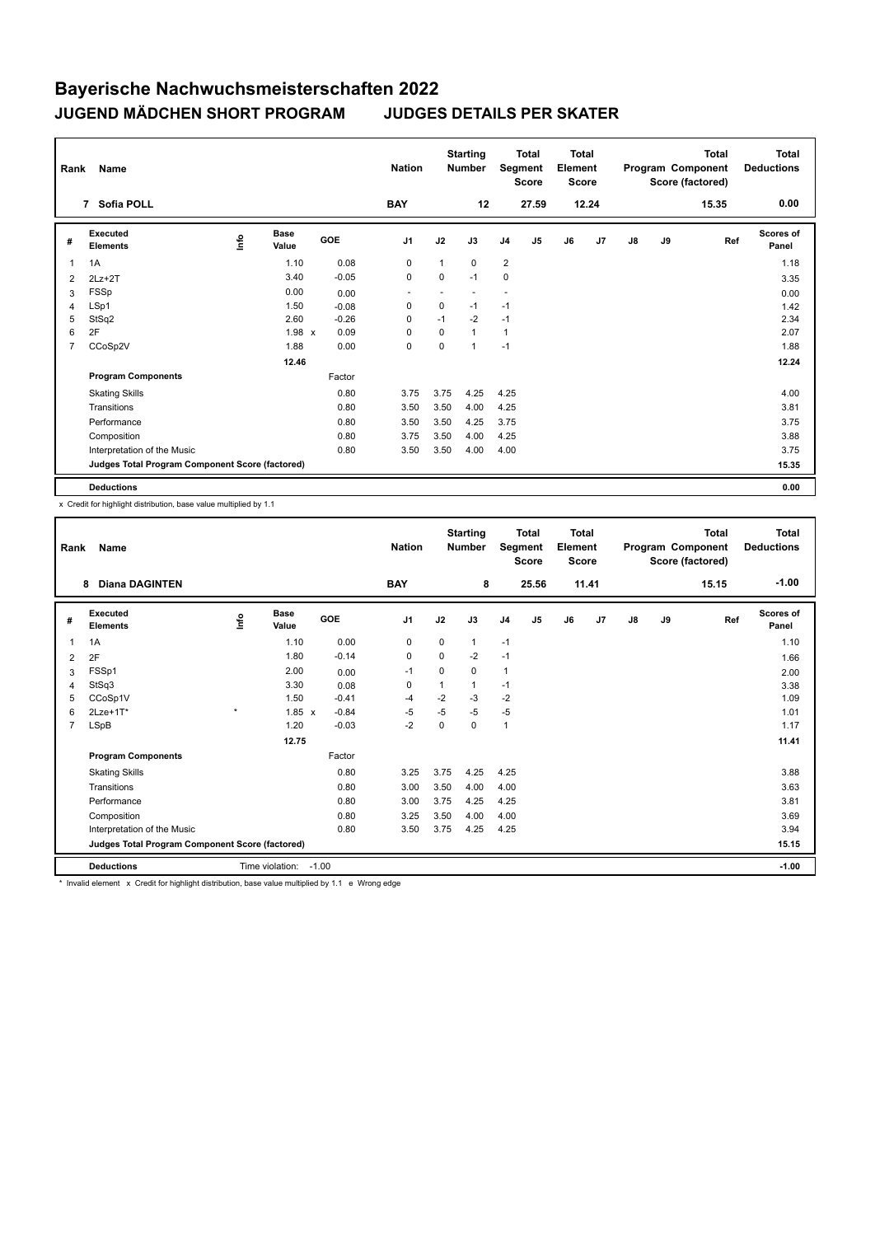| Rank           | Name                                            |                           | <b>Nation</b>        |         | <b>Starting</b><br><b>Number</b> |              | <b>Total</b><br>Segment<br><b>Score</b> | <b>Total</b><br>Element<br><b>Score</b> |                |    |                | <b>Total</b><br>Program Component<br>Score (factored) | Total<br><b>Deductions</b> |       |                    |
|----------------|-------------------------------------------------|---------------------------|----------------------|---------|----------------------------------|--------------|-----------------------------------------|-----------------------------------------|----------------|----|----------------|-------------------------------------------------------|----------------------------|-------|--------------------|
|                | 7 Sofia POLL                                    |                           |                      |         | <b>BAY</b>                       |              | 12                                      |                                         | 27.59          |    | 12.24          |                                                       |                            | 15.35 | 0.00               |
| #              | Executed<br><b>Elements</b>                     | $\mathop{\mathsf{Inflo}}$ | <b>Base</b><br>Value | GOE     | J <sub>1</sub>                   | J2           | J3                                      | J <sub>4</sub>                          | J <sub>5</sub> | J6 | J <sub>7</sub> | $\mathsf{J}8$                                         | J9                         | Ref   | Scores of<br>Panel |
| $\overline{1}$ | 1A                                              |                           | 1.10                 | 0.08    | 0                                | $\mathbf{1}$ | $\Omega$                                | $\overline{2}$                          |                |    |                |                                                       |                            |       | 1.18               |
| 2              | $2Lz+2T$                                        |                           | 3.40                 | $-0.05$ | 0                                | $\mathbf 0$  | $-1$                                    | $\mathbf 0$                             |                |    |                |                                                       |                            |       | 3.35               |
| 3              | <b>FSSp</b>                                     |                           | 0.00                 | 0.00    | ٠                                | ٠            |                                         | ۰                                       |                |    |                |                                                       |                            |       | 0.00               |
| 4              | LSp1                                            |                           | 1.50                 | $-0.08$ | 0                                | $\mathbf 0$  | $-1$                                    | $-1$                                    |                |    |                |                                                       |                            |       | 1.42               |
| 5              | StSq2                                           |                           | 2.60                 | $-0.26$ | $\Omega$                         | $-1$         | $-2$                                    | $-1$                                    |                |    |                |                                                       |                            |       | 2.34               |
| 6              | 2F                                              |                           | 1.98 x               | 0.09    | $\Omega$                         | 0            | 1                                       | $\mathbf{1}$                            |                |    |                |                                                       |                            |       | 2.07               |
| $\overline{7}$ | CCoSp2V                                         |                           | 1.88                 | 0.00    | $\mathbf 0$                      | 0            | 1                                       | $-1$                                    |                |    |                |                                                       |                            |       | 1.88               |
|                |                                                 |                           | 12.46                |         |                                  |              |                                         |                                         |                |    |                |                                                       |                            |       | 12.24              |
|                | <b>Program Components</b>                       |                           |                      | Factor  |                                  |              |                                         |                                         |                |    |                |                                                       |                            |       |                    |
|                | <b>Skating Skills</b>                           |                           |                      | 0.80    | 3.75                             | 3.75         | 4.25                                    | 4.25                                    |                |    |                |                                                       |                            |       | 4.00               |
|                | Transitions                                     |                           |                      | 0.80    | 3.50                             | 3.50         | 4.00                                    | 4.25                                    |                |    |                |                                                       |                            |       | 3.81               |
|                | Performance                                     |                           |                      | 0.80    | 3.50                             | 3.50         | 4.25                                    | 3.75                                    |                |    |                |                                                       |                            |       | 3.75               |
|                | Composition                                     |                           |                      | 0.80    | 3.75                             | 3.50         | 4.00                                    | 4.25                                    |                |    |                |                                                       |                            |       | 3.88               |
|                | Interpretation of the Music                     |                           |                      | 0.80    | 3.50                             | 3.50         | 4.00                                    | 4.00                                    |                |    |                |                                                       |                            |       | 3.75               |
|                | Judges Total Program Component Score (factored) |                           |                      |         |                                  |              |                                         |                                         |                |    |                |                                                       |                            |       | 15.35              |
|                | <b>Deductions</b>                               |                           |                      |         |                                  |              |                                         |                                         |                |    |                |                                                       |                            |       | 0.00               |

x Credit for highlight distribution, base value multiplied by 1.1

| Rank           | Name                                            |         |                 |         | <b>Nation</b>  |             | <b>Starting</b><br><b>Number</b> |                | <b>Total</b><br>Segment<br><b>Score</b> | Total<br>Element<br><b>Score</b> |       |               |    | <b>Total</b><br>Program Component<br>Score (factored) | <b>Total</b><br><b>Deductions</b> |
|----------------|-------------------------------------------------|---------|-----------------|---------|----------------|-------------|----------------------------------|----------------|-----------------------------------------|----------------------------------|-------|---------------|----|-------------------------------------------------------|-----------------------------------|
|                | <b>Diana DAGINTEN</b><br>8                      |         |                 |         | <b>BAY</b>     |             | 8                                |                | 25.56                                   |                                  | 11.41 |               |    | 15.15                                                 | $-1.00$                           |
| #              | Executed<br><b>Elements</b>                     | Info    | Base<br>Value   | GOE     | J <sub>1</sub> | J2          | J3                               | J <sub>4</sub> | J5                                      | J6                               | J7    | $\mathsf{J}8$ | J9 | Ref                                                   | <b>Scores of</b><br>Panel         |
| 1              | 1A                                              |         | 1.10            | 0.00    | 0              | 0           | $\mathbf{1}$                     | $-1$           |                                         |                                  |       |               |    |                                                       | 1.10                              |
| 2              | 2F                                              |         | 1.80            | $-0.14$ | $\mathbf 0$    | $\mathbf 0$ | $-2$                             | $-1$           |                                         |                                  |       |               |    |                                                       | 1.66                              |
| 3              | FSSp1                                           |         | 2.00            | 0.00    | $-1$           | 0           | 0                                | $\mathbf{1}$   |                                         |                                  |       |               |    |                                                       | 2.00                              |
| $\overline{4}$ | StSq3                                           |         | 3.30            | 0.08    | 0              |             | $\mathbf{1}$                     | $-1$           |                                         |                                  |       |               |    |                                                       | 3.38                              |
| 5              | CCoSp1V                                         |         | 1.50            | $-0.41$ | -4             | $-2$        | $-3$                             | $-2$           |                                         |                                  |       |               |    |                                                       | 1.09                              |
| 6              | $2$ Lze+1 $T^*$                                 | $\star$ | $1.85 \times$   | $-0.84$ | $-5$           | $-5$        | $-5$                             | $-5$           |                                         |                                  |       |               |    |                                                       | 1.01                              |
| $\overline{7}$ | LSpB                                            |         | 1.20            | $-0.03$ | $-2$           | $\Omega$    | 0                                | $\overline{1}$ |                                         |                                  |       |               |    |                                                       | 1.17                              |
|                |                                                 |         | 12.75           |         |                |             |                                  |                |                                         |                                  |       |               |    |                                                       | 11.41                             |
|                | <b>Program Components</b>                       |         |                 | Factor  |                |             |                                  |                |                                         |                                  |       |               |    |                                                       |                                   |
|                | <b>Skating Skills</b>                           |         |                 | 0.80    | 3.25           | 3.75        | 4.25                             | 4.25           |                                         |                                  |       |               |    |                                                       | 3.88                              |
|                | Transitions                                     |         |                 | 0.80    | 3.00           | 3.50        | 4.00                             | 4.00           |                                         |                                  |       |               |    |                                                       | 3.63                              |
|                | Performance                                     |         |                 | 0.80    | 3.00           | 3.75        | 4.25                             | 4.25           |                                         |                                  |       |               |    |                                                       | 3.81                              |
|                | Composition                                     |         |                 | 0.80    | 3.25           | 3.50        | 4.00                             | 4.00           |                                         |                                  |       |               |    |                                                       | 3.69                              |
|                | Interpretation of the Music                     |         |                 | 0.80    | 3.50           | 3.75        | 4.25                             | 4.25           |                                         |                                  |       |               |    |                                                       | 3.94                              |
|                | Judges Total Program Component Score (factored) |         |                 |         |                |             |                                  |                |                                         |                                  |       |               |    |                                                       | 15.15                             |
|                | <b>Deductions</b>                               |         | Time violation: | $-1.00$ |                |             |                                  |                |                                         |                                  |       |               |    |                                                       | $-1.00$                           |

\* Invalid element x Credit for highlight distribution, base value multiplied by 1.1 e Wrong edge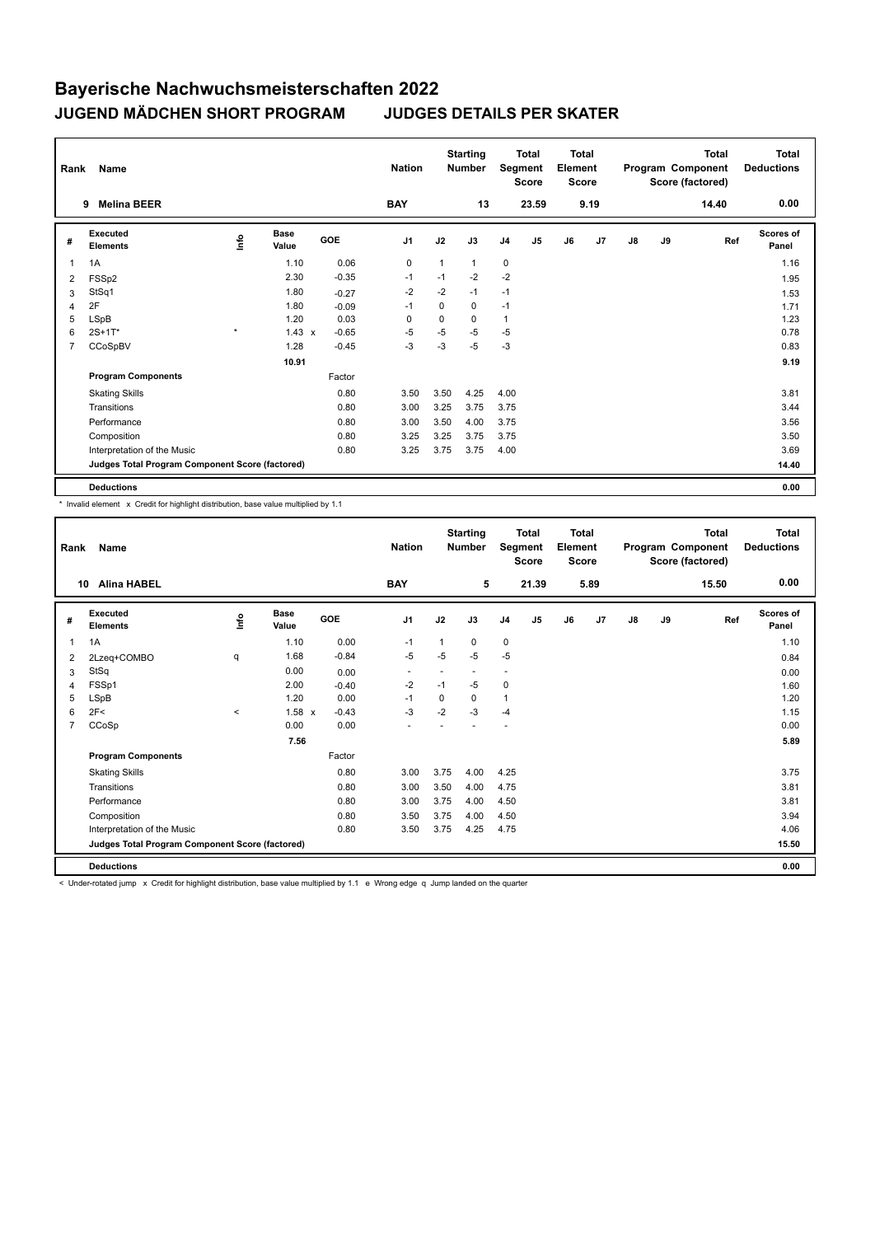| Rank           | Name                                            |                           | <b>Nation</b>        |         | <b>Starting</b><br><b>Number</b> |              | <b>Total</b><br>Segment<br><b>Score</b> | <b>Total</b><br>Element<br><b>Score</b> |                |    |                | <b>Total</b><br>Program Component<br>Score (factored) | Total<br><b>Deductions</b> |       |                    |
|----------------|-------------------------------------------------|---------------------------|----------------------|---------|----------------------------------|--------------|-----------------------------------------|-----------------------------------------|----------------|----|----------------|-------------------------------------------------------|----------------------------|-------|--------------------|
|                | <b>Melina BEER</b><br>9                         |                           |                      |         | <b>BAY</b>                       |              | 13                                      |                                         | 23.59          |    | 9.19           |                                                       |                            | 14.40 | 0.00               |
| #              | Executed<br><b>Elements</b>                     | $\mathop{\mathsf{Inflo}}$ | <b>Base</b><br>Value | GOE     | J <sub>1</sub>                   | J2           | J3                                      | J <sub>4</sub>                          | J <sub>5</sub> | J6 | J <sub>7</sub> | $\mathsf{J}8$                                         | J9                         | Ref   | Scores of<br>Panel |
| $\overline{1}$ | 1A                                              |                           | 1.10                 | 0.06    | $\mathbf 0$                      | $\mathbf{1}$ | $\mathbf{1}$                            | $\mathbf 0$                             |                |    |                |                                                       |                            |       | 1.16               |
| 2              | FSS <sub>p2</sub>                               |                           | 2.30                 | $-0.35$ | $-1$                             | $-1$         | $-2$                                    | $-2$                                    |                |    |                |                                                       |                            |       | 1.95               |
| 3              | StSq1                                           |                           | 1.80                 | $-0.27$ | $-2$                             | $-2$         | $-1$                                    | $-1$                                    |                |    |                |                                                       |                            |       | 1.53               |
| 4              | 2F                                              |                           | 1.80                 | $-0.09$ | $-1$                             | 0            | 0                                       | $-1$                                    |                |    |                |                                                       |                            |       | 1.71               |
| 5              | LSpB                                            |                           | 1.20                 | 0.03    | $\Omega$                         | $\Omega$     | 0                                       | $\mathbf{1}$                            |                |    |                |                                                       |                            |       | 1.23               |
| 6              | $2S+1T^*$                                       | $\star$                   | $1.43 \times$        | $-0.65$ | $-5$                             | -5           | $-5$                                    | $-5$                                    |                |    |                |                                                       |                            |       | 0.78               |
| $\overline{7}$ | CCoSpBV                                         |                           | 1.28                 | $-0.45$ | $-3$                             | $-3$         | $-5$                                    | $-3$                                    |                |    |                |                                                       |                            |       | 0.83               |
|                |                                                 |                           | 10.91                |         |                                  |              |                                         |                                         |                |    |                |                                                       |                            |       | 9.19               |
|                | <b>Program Components</b>                       |                           |                      | Factor  |                                  |              |                                         |                                         |                |    |                |                                                       |                            |       |                    |
|                | <b>Skating Skills</b>                           |                           |                      | 0.80    | 3.50                             | 3.50         | 4.25                                    | 4.00                                    |                |    |                |                                                       |                            |       | 3.81               |
|                | Transitions                                     |                           |                      | 0.80    | 3.00                             | 3.25         | 3.75                                    | 3.75                                    |                |    |                |                                                       |                            |       | 3.44               |
|                | Performance                                     |                           |                      | 0.80    | 3.00                             | 3.50         | 4.00                                    | 3.75                                    |                |    |                |                                                       |                            |       | 3.56               |
|                | Composition                                     |                           |                      | 0.80    | 3.25                             | 3.25         | 3.75                                    | 3.75                                    |                |    |                |                                                       |                            |       | 3.50               |
|                | Interpretation of the Music                     |                           |                      | 0.80    | 3.25                             | 3.75         | 3.75                                    | 4.00                                    |                |    |                |                                                       |                            |       | 3.69               |
|                | Judges Total Program Component Score (factored) |                           |                      |         |                                  |              |                                         |                                         |                |    |                |                                                       |                            |       | 14.40              |
|                | <b>Deductions</b>                               |                           |                      |         |                                  |              |                                         |                                         |                |    |                |                                                       |                            |       | 0.00               |

\* Invalid element x Credit for highlight distribution, base value multiplied by 1.1

| Rank           | Name                                            |                     |                      |         | <b>Nation</b>  |          | <b>Starting</b><br><b>Number</b> |                | <b>Total</b><br>Segment<br><b>Score</b> | <b>Total</b><br>Element<br><b>Score</b> |      |               |    | <b>Total</b><br>Program Component<br>Score (factored) | <b>Total</b><br><b>Deductions</b> |
|----------------|-------------------------------------------------|---------------------|----------------------|---------|----------------|----------|----------------------------------|----------------|-----------------------------------------|-----------------------------------------|------|---------------|----|-------------------------------------------------------|-----------------------------------|
| 10             | <b>Alina HABEL</b>                              |                     |                      |         | <b>BAY</b>     |          | 5                                |                | 21.39                                   |                                         | 5.89 |               |    | 15.50                                                 | 0.00                              |
| #              | Executed<br><b>Elements</b>                     | lnfo                | <b>Base</b><br>Value | GOE     | J <sub>1</sub> | J2       | J3                               | J <sub>4</sub> | J5                                      | J6                                      | J7   | $\mathsf{J}8$ | J9 | Ref                                                   | <b>Scores of</b><br>Panel         |
| $\mathbf{1}$   | 1A                                              |                     | 1.10                 | 0.00    | $-1$           | 1        | 0                                | $\mathbf 0$    |                                         |                                         |      |               |    |                                                       | 1.10                              |
| 2              | 2Lzeq+COMBO                                     | q                   | 1.68                 | $-0.84$ | $-5$           | $-5$     | $-5$                             | $-5$           |                                         |                                         |      |               |    |                                                       | 0.84                              |
| 3              | StSq                                            |                     | 0.00                 | 0.00    | ٠              |          | $\overline{\phantom{a}}$         | ÷              |                                         |                                         |      |               |    |                                                       | 0.00                              |
| $\overline{4}$ | FSSp1                                           |                     | 2.00                 | $-0.40$ | $-2$           | $-1$     | $-5$                             | 0              |                                         |                                         |      |               |    |                                                       | 1.60                              |
| 5              | <b>LSpB</b>                                     |                     | 1.20                 | 0.00    | $-1$           | $\Omega$ | $\Omega$                         | $\overline{1}$ |                                         |                                         |      |               |    |                                                       | 1.20                              |
| 6              | 2F<                                             | $\hat{\phantom{a}}$ | $1.58 \times$        | $-0.43$ | $-3$           | $-2$     | $-3$                             | $-4$           |                                         |                                         |      |               |    |                                                       | 1.15                              |
| 7              | CCoSp                                           |                     | 0.00                 | 0.00    | ÷              |          |                                  |                |                                         |                                         |      |               |    |                                                       | 0.00                              |
|                |                                                 |                     | 7.56                 |         |                |          |                                  |                |                                         |                                         |      |               |    |                                                       | 5.89                              |
|                | <b>Program Components</b>                       |                     |                      | Factor  |                |          |                                  |                |                                         |                                         |      |               |    |                                                       |                                   |
|                | <b>Skating Skills</b>                           |                     |                      | 0.80    | 3.00           | 3.75     | 4.00                             | 4.25           |                                         |                                         |      |               |    |                                                       | 3.75                              |
|                | Transitions                                     |                     |                      | 0.80    | 3.00           | 3.50     | 4.00                             | 4.75           |                                         |                                         |      |               |    |                                                       | 3.81                              |
|                | Performance                                     |                     |                      | 0.80    | 3.00           | 3.75     | 4.00                             | 4.50           |                                         |                                         |      |               |    |                                                       | 3.81                              |
|                | Composition                                     |                     |                      | 0.80    | 3.50           | 3.75     | 4.00                             | 4.50           |                                         |                                         |      |               |    |                                                       | 3.94                              |
|                | Interpretation of the Music                     |                     |                      | 0.80    | 3.50           | 3.75     | 4.25                             | 4.75           |                                         |                                         |      |               |    |                                                       | 4.06                              |
|                | Judges Total Program Component Score (factored) |                     |                      |         |                |          |                                  |                |                                         |                                         |      |               |    |                                                       | 15.50                             |
|                | <b>Deductions</b>                               |                     |                      |         |                |          |                                  |                |                                         |                                         |      |               |    |                                                       | 0.00                              |

< Under-rotated jump x Credit for highlight distribution, base value multiplied by 1.1 e Wrong edge q Jump landed on the quarter